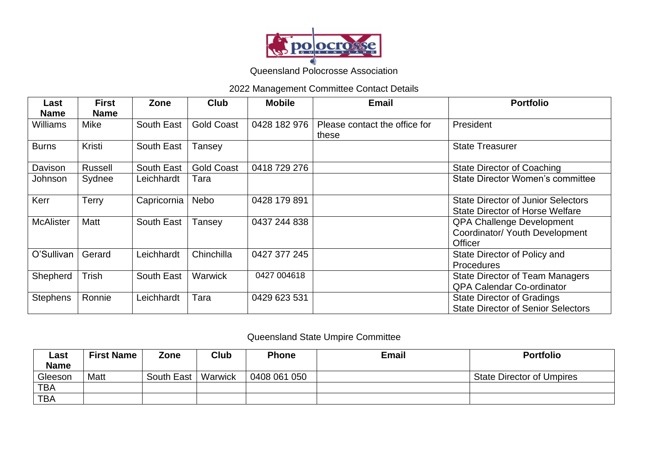

Queensland Polocrosse Association

## 2022 Management Committee Contact Details

| Last<br><b>Name</b> | <b>First</b><br><b>Name</b> | Zone        | <b>Club</b>       | <b>Mobile</b> | <b>Email</b>                           | <b>Portfolio</b>                                                                    |
|---------------------|-----------------------------|-------------|-------------------|---------------|----------------------------------------|-------------------------------------------------------------------------------------|
| Williams            | Mike                        | South East  | Gold Coast        | 0428 182 976  | Please contact the office for<br>these | President                                                                           |
| <b>Burns</b>        | Kristi                      | South East  | Tansey            |               |                                        | <b>State Treasurer</b>                                                              |
| Davison             | <b>Russell</b>              | South East  | <b>Gold Coast</b> | 0418 729 276  |                                        | <b>State Director of Coaching</b>                                                   |
| Johnson             | Sydnee                      | Leichhardt  | Tara              |               |                                        | <b>State Director Women's committee</b>                                             |
| Kerr                | <b>Terry</b>                | Capricornia | Nebo              | 0428 179 891  |                                        | <b>State Director of Junior Selectors</b><br><b>State Director of Horse Welfare</b> |
| <b>McAlister</b>    | Matt                        | South East  | Tansey            | 0437 244 838  |                                        | <b>QPA Challenge Development</b><br>Coordinator/ Youth Development<br>Officer       |
| O'Sullivan          | Gerard                      | Leichhardt  | Chinchilla        | 0427 377 245  |                                        | State Director of Policy and<br><b>Procedures</b>                                   |
| Shepherd            | Trish                       | South East  | <b>Warwick</b>    | 0427 004618   |                                        | <b>State Director of Team Managers</b><br><b>QPA Calendar Co-ordinator</b>          |
| <b>Stephens</b>     | Ronnie                      | Leichhardt  | Tara              | 0429 623 531  |                                        | <b>State Director of Gradings</b><br><b>State Director of Senior Selectors</b>      |

## Queensland State Umpire Committee

| ∟ast        | <b>First Name</b> | Zone       | <b>Club</b> | <b>Phone</b> | <b>Email</b> | <b>Portfolio</b>                 |
|-------------|-------------------|------------|-------------|--------------|--------------|----------------------------------|
| <b>Name</b> |                   |            |             |              |              |                                  |
| Gleeson     | Matt              | South East | Warwick     | 0408 061 050 |              | <b>State Director of Umpires</b> |
| TBA         |                   |            |             |              |              |                                  |
| <b>TBA</b>  |                   |            |             |              |              |                                  |